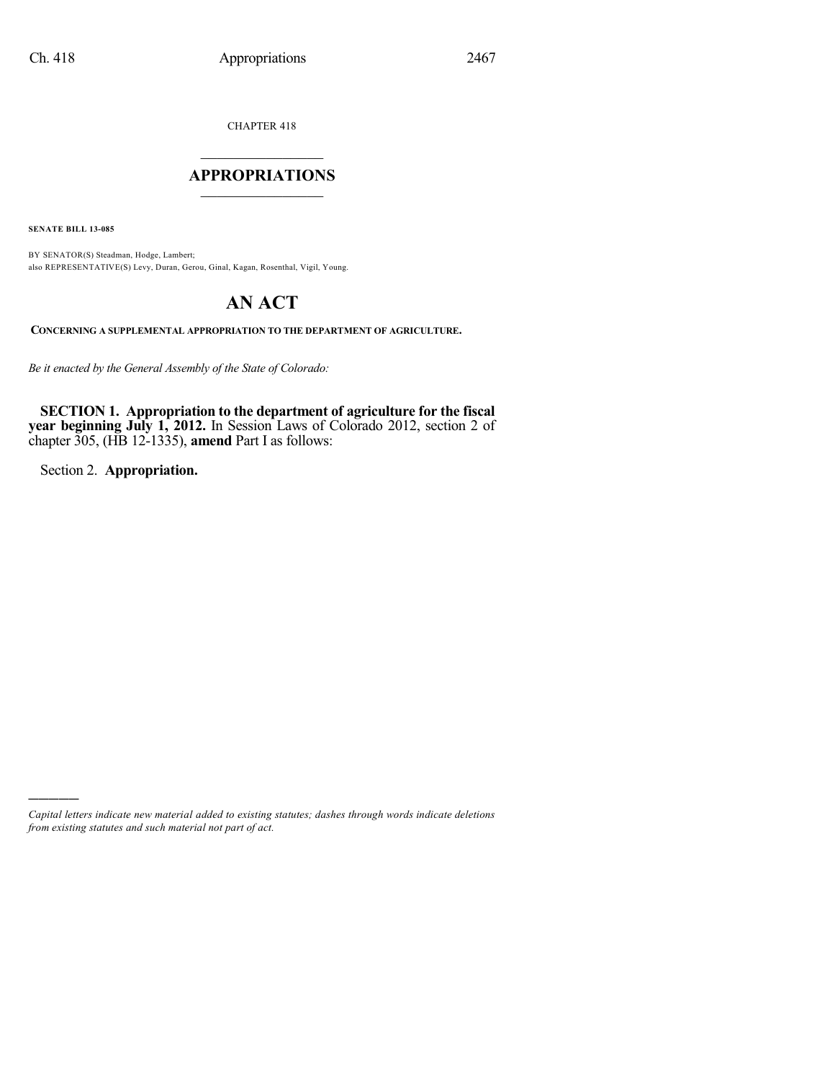CHAPTER 418

## $\overline{\phantom{a}}$  . The set of the set of the set of the set of the set of the set of the set of the set of the set of the set of the set of the set of the set of the set of the set of the set of the set of the set of the set o **APPROPRIATIONS**  $\_$   $\_$   $\_$   $\_$   $\_$   $\_$   $\_$   $\_$

**SENATE BILL 13-085**

BY SENATOR(S) Steadman, Hodge, Lambert; also REPRESENTATIVE(S) Levy, Duran, Gerou, Ginal, Kagan, Rosenthal, Vigil, Young.

# **AN ACT**

**CONCERNING A SUPPLEMENTAL APPROPRIATION TO THE DEPARTMENT OF AGRICULTURE.**

*Be it enacted by the General Assembly of the State of Colorado:*

**SECTION 1. Appropriation to the department of agriculture for the fiscal year beginning July 1, 2012.** In Session Laws of Colorado 2012, section 2 of chapter 305, (HB 12-1335), **amend** Part I as follows:

Section 2. **Appropriation.**

)))))

*Capital letters indicate new material added to existing statutes; dashes through words indicate deletions from existing statutes and such material not part of act.*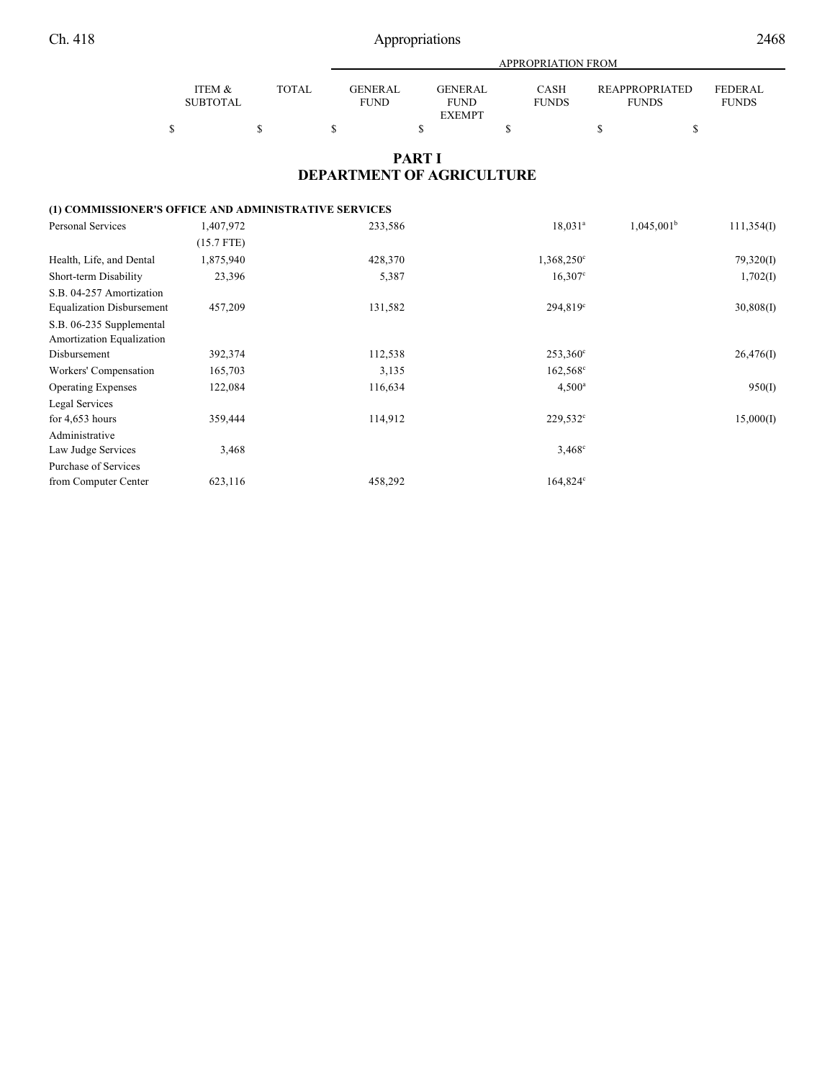Ch. 418 Appropriations 2468

|                 |              |             | APPROPRIATION FROM |              |                |                |  |  |  |
|-----------------|--------------|-------------|--------------------|--------------|----------------|----------------|--|--|--|
| ITEM &          | <b>TOTAL</b> | GENERAL     | <b>GENERAL</b>     | CASH         | REAPPROPRIATED | <b>FEDERAL</b> |  |  |  |
| <b>SUBTOTAL</b> |              | <b>FUND</b> | <b>FUND</b>        | <b>FUNDS</b> | <b>FUNDS</b>   | <b>FUNDS</b>   |  |  |  |
|                 |              |             | <b>EXEMPT</b>      |              |                |                |  |  |  |
|                 |              |             |                    |              |                |                |  |  |  |

# **PART I DEPARTMENT OF AGRICULTURE**

## **(1) COMMISSIONER'S OFFICE AND ADMINISTRATIVE SERVICES**

| <b>Personal Services</b>         | 1,407,972    | 233,586 | $18,031^a$          | 1,045,001 <sup>b</sup> | 111,354(I) |
|----------------------------------|--------------|---------|---------------------|------------------------|------------|
|                                  | $(15.7$ FTE) |         |                     |                        |            |
| Health, Life, and Dental         | 1,875,940    | 428,370 | $1,368,250^{\circ}$ |                        | 79,320(I)  |
| Short-term Disability            | 23,396       | 5,387   | $16,307$ °          |                        | 1,702(I)   |
| S.B. 04-257 Amortization         |              |         |                     |                        |            |
| <b>Equalization Disbursement</b> | 457,209      | 131,582 | $294,819^{\circ}$   |                        | 30,808(1)  |
| S.B. 06-235 Supplemental         |              |         |                     |                        |            |
| Amortization Equalization        |              |         |                     |                        |            |
| Disbursement                     | 392,374      | 112,538 | $253,360^{\circ}$   |                        | 26,476(I)  |
| Workers' Compensation            | 165,703      | 3,135   | $162,568^{\circ}$   |                        |            |
| <b>Operating Expenses</b>        | 122,084      | 116,634 | $4,500^{\circ}$     |                        | 950(I)     |
| Legal Services                   |              |         |                     |                        |            |
| for $4,653$ hours                | 359,444      | 114,912 | $229,532^{\circ}$   |                        | 15,000(I)  |
| Administrative                   |              |         |                     |                        |            |
| Law Judge Services               | 3,468        |         | $3,468^{\circ}$     |                        |            |
| Purchase of Services             |              |         |                     |                        |            |
| from Computer Center             | 623,116      | 458,292 | 164,824°            |                        |            |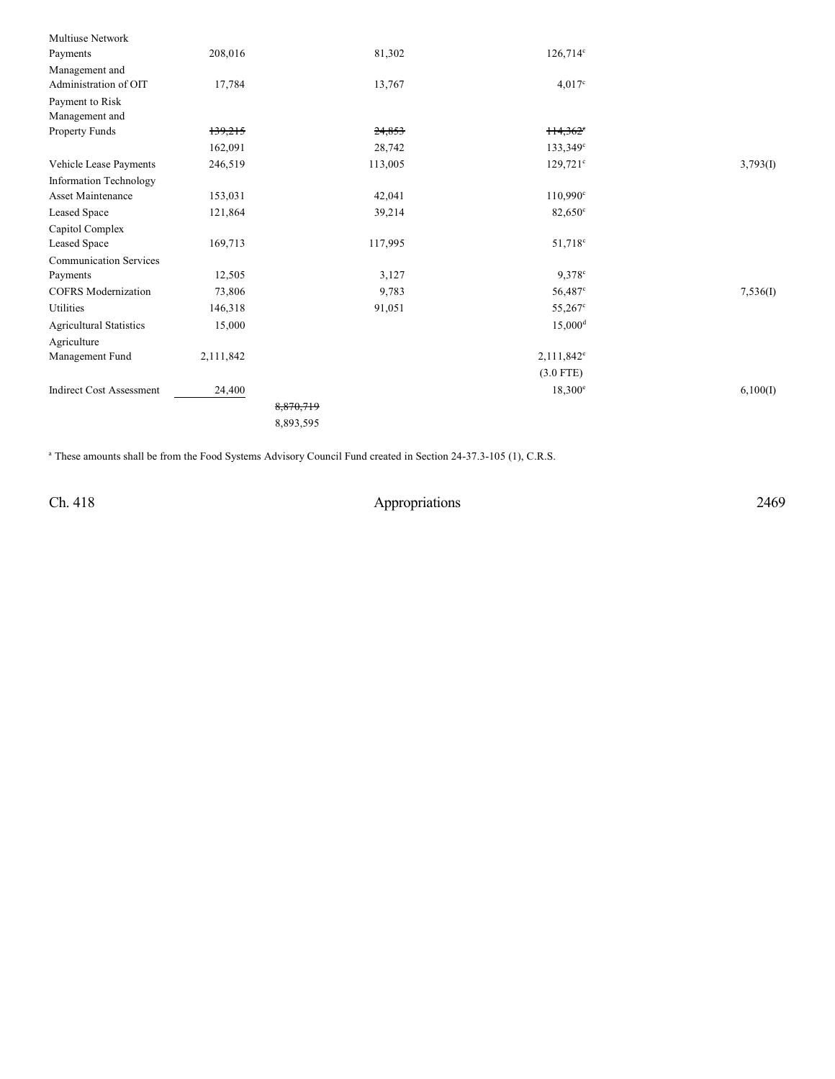| Multiuse Network                |           |           |                        |          |
|---------------------------------|-----------|-----------|------------------------|----------|
| Payments                        | 208,016   | 81,302    | $126,714^c$            |          |
| Management and                  |           |           |                        |          |
| Administration of OIT           | 17,784    | 13,767    | $4,017^{\circ}$        |          |
| Payment to Risk                 |           |           |                        |          |
| Management and                  |           |           |                        |          |
| Property Funds                  | 139,215   | 24,853    | $114,362$ <sup>e</sup> |          |
|                                 | 162,091   | 28,742    | $133,349^{\circ}$      |          |
| Vehicle Lease Payments          | 246,519   | 113,005   | $129,721^{\circ}$      | 3,793(I) |
| <b>Information Technology</b>   |           |           |                        |          |
| <b>Asset Maintenance</b>        | 153,031   | 42,041    | $110,990^{\circ}$      |          |
| Leased Space                    | 121,864   | 39,214    | $82,650^{\circ}$       |          |
| Capitol Complex                 |           |           |                        |          |
| Leased Space                    | 169,713   | 117,995   | 51,718 <sup>c</sup>    |          |
| <b>Communication Services</b>   |           |           |                        |          |
| Payments                        | 12,505    | 3,127     | $9.378$ <sup>c</sup>   |          |
| <b>COFRS</b> Modernization      | 73,806    | 9,783     | 56,487 <sup>c</sup>    | 7,536(I) |
| Utilities                       | 146,318   | 91,051    | $55,267$ °             |          |
| <b>Agricultural Statistics</b>  | 15,000    |           | $15,000^{\rm d}$       |          |
| Agriculture                     |           |           |                        |          |
| Management Fund                 | 2,111,842 |           | $2,111,842^e$          |          |
|                                 |           |           | $(3.0$ FTE)            |          |
| <b>Indirect Cost Assessment</b> | 24,400    |           | $18,300^{\circ}$       | 6,100(I) |
|                                 |           | 8,870,719 |                        |          |
|                                 |           | 8,893,595 |                        |          |
|                                 |           |           |                        |          |

<sup>a</sup> These amounts shall be from the Food Systems Advisory Council Fund created in Section 24-37.3-105 (1), C.R.S.

Ch. 418 Appropriations 2469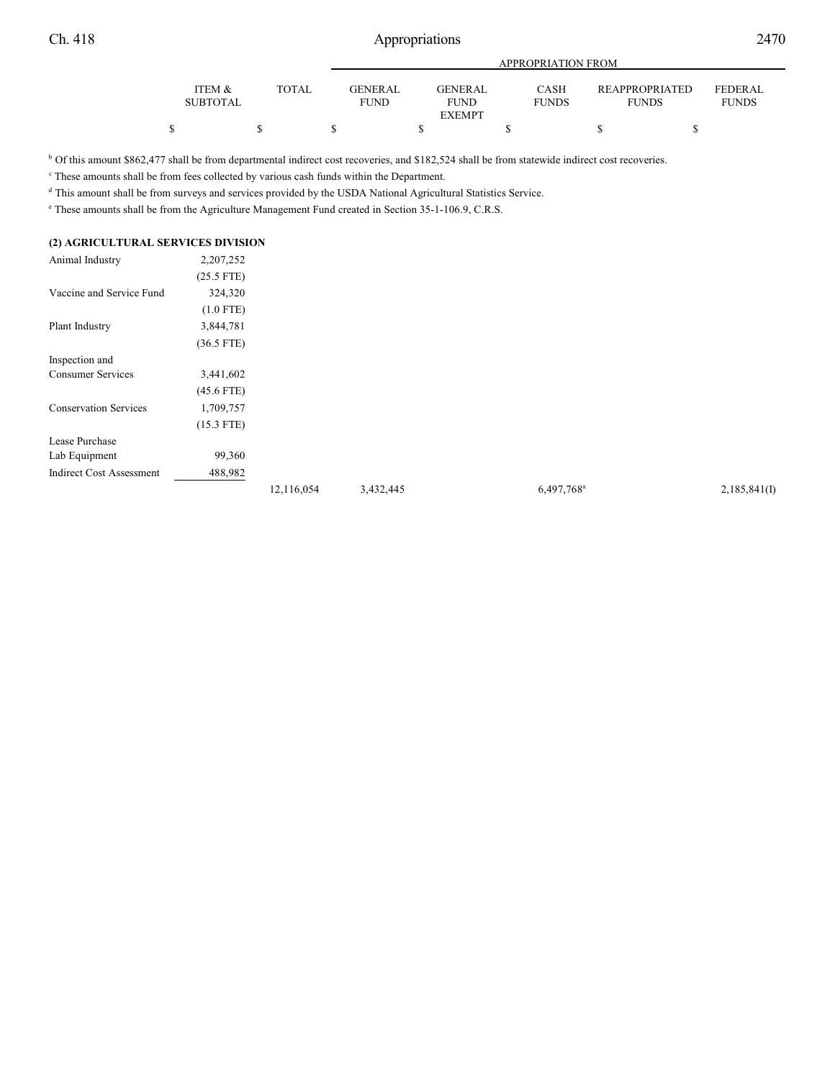|                 |       |                 | APPROPRIATION FROM |              |                       |                |  |  |  |
|-----------------|-------|-----------------|--------------------|--------------|-----------------------|----------------|--|--|--|
| ITEM &          | TOTAL | <b>GENER AL</b> | <b>GENERAL</b>     | <b>CASH</b>  | <b>REAPPROPRIATED</b> | <b>FEDERAL</b> |  |  |  |
| <b>SUBTOTAL</b> |       | <b>FUND</b>     | <b>FUND</b>        | <b>FUNDS</b> | <b>FUNDS</b>          | <b>FUNDS</b>   |  |  |  |
|                 |       |                 | <b>EXEMPT</b>      |              |                       |                |  |  |  |
|                 |       |                 |                    |              |                       |                |  |  |  |

<sup>b</sup> Of this amount \$862,477 shall be from departmental indirect cost recoveries, and \$182,524 shall be from statewide indirect cost recoveries.

<sup>c</sup> These amounts shall be from fees collected by various cash funds within the Department.

<sup>d</sup> This amount shall be from surveys and services provided by the USDA National Agricultural Statistics Service.

 $\degree$  These amounts shall be from the Agriculture Management Fund created in Section 35-1-106.9, C.R.S.

## **(2) AGRICULTURAL SERVICES DIVISION**

| Animal Industry              | 2,207,252    |
|------------------------------|--------------|
|                              | $(25.5$ FTE) |
| Vaccine and Service Fund     | 324,320      |
|                              | $(1.0$ FTE)  |
| Plant Industry               | 3,844,781    |
|                              | $(36.5$ FTE) |
| Inspection and               |              |
| <b>Consumer Services</b>     | 3,441,602    |
|                              | $(45.6$ FTE) |
| <b>Conservation Services</b> | 1,709,757    |
|                              | $(15.3$ FTE) |
| Lease Purchase               |              |
| Lab Equipment                | 99,360       |
| Indirect Cost Assessment     | 488,982      |

12,116,054 3,432,445 6,497,768<sup>a</sup> 2,185,841(I)

 $6,497,768^{\circ}$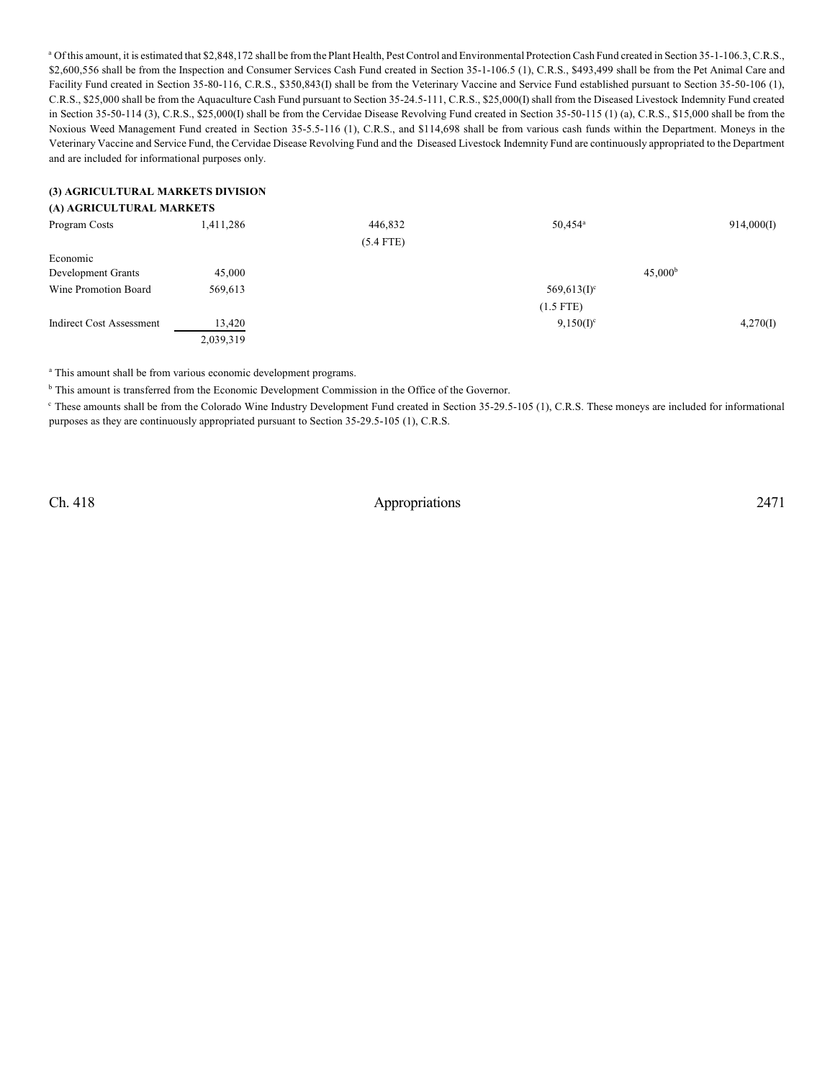<sup>a</sup> Of this amount, it is estimated that \$2,848,172 shall be from the Plant Health, Pest Control and Environmental Protection Cash Fund created in Section 35-1-106.3, C.R.S., \$2,600,556 shall be from the Inspection and Consumer Services Cash Fund created in Section 35-1-106.5 (1), C.R.S., \$493,499 shall be from the Pet Animal Care and Facility Fund created in Section 35-80-116, C.R.S., \$350,843(I) shall be from the Veterinary Vaccine and Service Fund established pursuant to Section 35-50-106 (1), C.R.S., \$25,000 shall be from the Aquaculture Cash Fund pursuant to Section 35-24.5-111, C.R.S., \$25,000(I) shall from the Diseased Livestock Indemnity Fund created in Section 35-50-114 (3), C.R.S., \$25,000(I) shall be from the Cervidae Disease Revolving Fund created in Section 35-50-115 (1) (a), C.R.S., \$15,000 shall be from the Noxious Weed Management Fund created in Section 35-5.5-116 (1), C.R.S., and \$114,698 shall be from various cash funds within the Department. Moneys in the Veterinary Vaccine and Service Fund, the Cervidae Disease Revolving Fund and the Diseased Livestock Indemnity Fund are continuously appropriated to the Department and are included for informational purposes only.

#### **(3) AGRICULTURAL MARKETS DIVISION**

#### **(A) AGRICULTURAL MARKETS**

| Program Costs            | 1,411,286 | 446,832     | $50,454^{\rm a}$          | 914,000(I)          |
|--------------------------|-----------|-------------|---------------------------|---------------------|
|                          |           | $(5.4$ FTE) |                           |                     |
| Economic                 |           |             |                           |                     |
| Development Grants       | 45,000    |             |                           | 45,000 <sup>b</sup> |
| Wine Promotion Board     | 569,613   |             | $569,613(1)$ <sup>c</sup> |                     |
|                          |           |             | $(1.5$ FTE)               |                     |
| Indirect Cost Assessment | 13,420    |             | $9,150(I)^c$              | 4,270(I)            |
|                          | 2,039,319 |             |                           |                     |

<sup>a</sup> This amount shall be from various economic development programs.

 $b$  This amount is transferred from the Economic Development Commission in the Office of the Governor.

These amounts shall be from the Colorado Wine Industry Development Fund created in Section 35-29.5-105 (1), C.R.S. These moneys are included for informational purposes as they are continuously appropriated pursuant to Section 35-29.5-105 (1), C.R.S.

Ch. 418 Appropriations 2471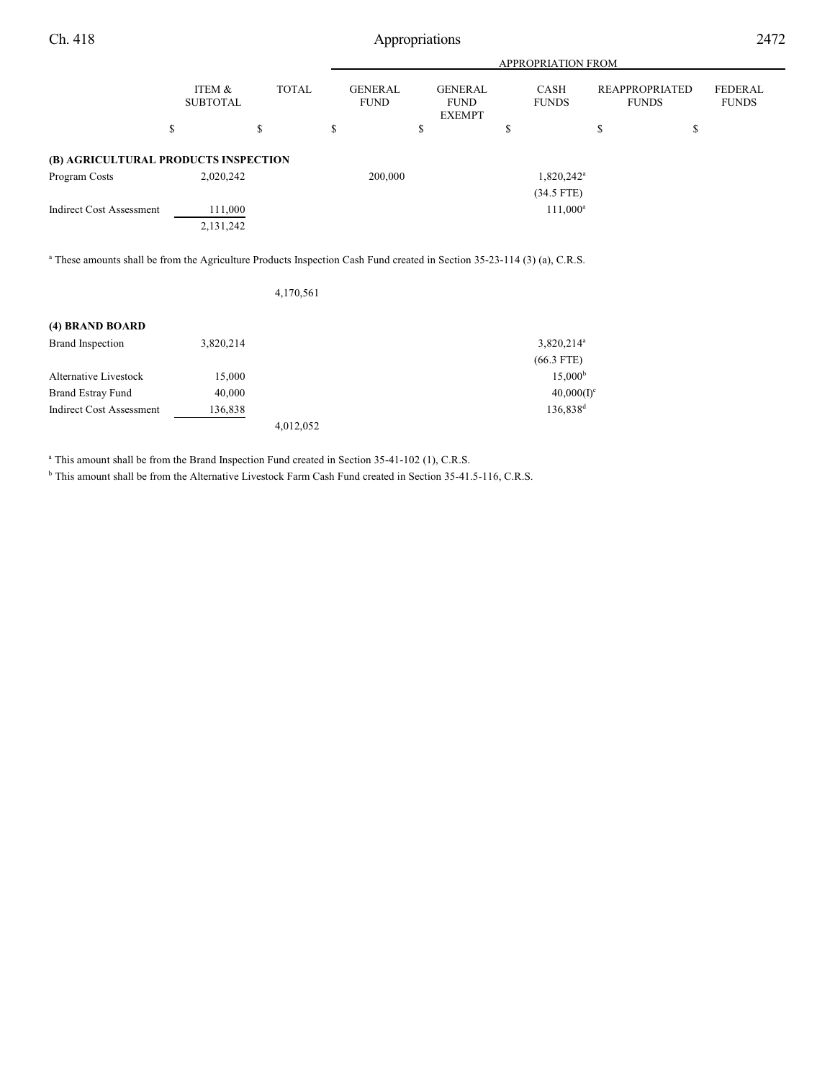Ch. 418 Appropriations 2472

|                                                       |                           |              | APPROPRIATION FROM            |    |                                                |    |                             |                                       |    |                                |
|-------------------------------------------------------|---------------------------|--------------|-------------------------------|----|------------------------------------------------|----|-----------------------------|---------------------------------------|----|--------------------------------|
|                                                       | ITEM &<br><b>SUBTOTAL</b> | <b>TOTAL</b> | <b>GENERAL</b><br><b>FUND</b> |    | <b>GENERAL</b><br><b>FUND</b><br><b>EXEMPT</b> |    | <b>CASH</b><br><b>FUNDS</b> | <b>REAPPROPRIATED</b><br><b>FUNDS</b> |    | <b>FEDERAL</b><br><b>FUNDS</b> |
| \$                                                    |                           | \$           | \$                            | \$ |                                                | \$ |                             | \$                                    | \$ |                                |
| (B) AGRICULTURAL PRODUCTS INSPECTION<br>Program Costs | 2,020,242                 |              | 200,000                       |    |                                                |    | 1,820,242 <sup>a</sup>      |                                       |    |                                |
|                                                       |                           |              |                               |    |                                                |    | $(34.5$ FTE)                |                                       |    |                                |
| <b>Indirect Cost Assessment</b>                       | 111,000<br>2,131,242      |              |                               |    |                                                |    | $111,000^a$                 |                                       |    |                                |

<sup>a</sup> These amounts shall be from the Agriculture Products Inspection Cash Fund created in Section 35-23-114 (3) (a), C.R.S.

| 4,170,561 |
|-----------|
|-----------|

| (4) BRAND BOARD                 |           |           |                      |
|---------------------------------|-----------|-----------|----------------------|
| Brand Inspection                | 3,820,214 |           | $3,820,214^a$        |
|                                 |           |           | $(66.3$ FTE)         |
| Alternative Livestock           | 15,000    |           | 15.000 <sup>b</sup>  |
| Brand Estray Fund               | 40,000    |           | $40,000(I)^c$        |
| <b>Indirect Cost Assessment</b> | 136,838   |           | 136,838 <sup>d</sup> |
|                                 |           | 4,012,052 |                      |

<sup>a</sup> This amount shall be from the Brand Inspection Fund created in Section 35-41-102 (1), C.R.S.

<sup>b</sup> This amount shall be from the Alternative Livestock Farm Cash Fund created in Section 35-41.5-116, C.R.S.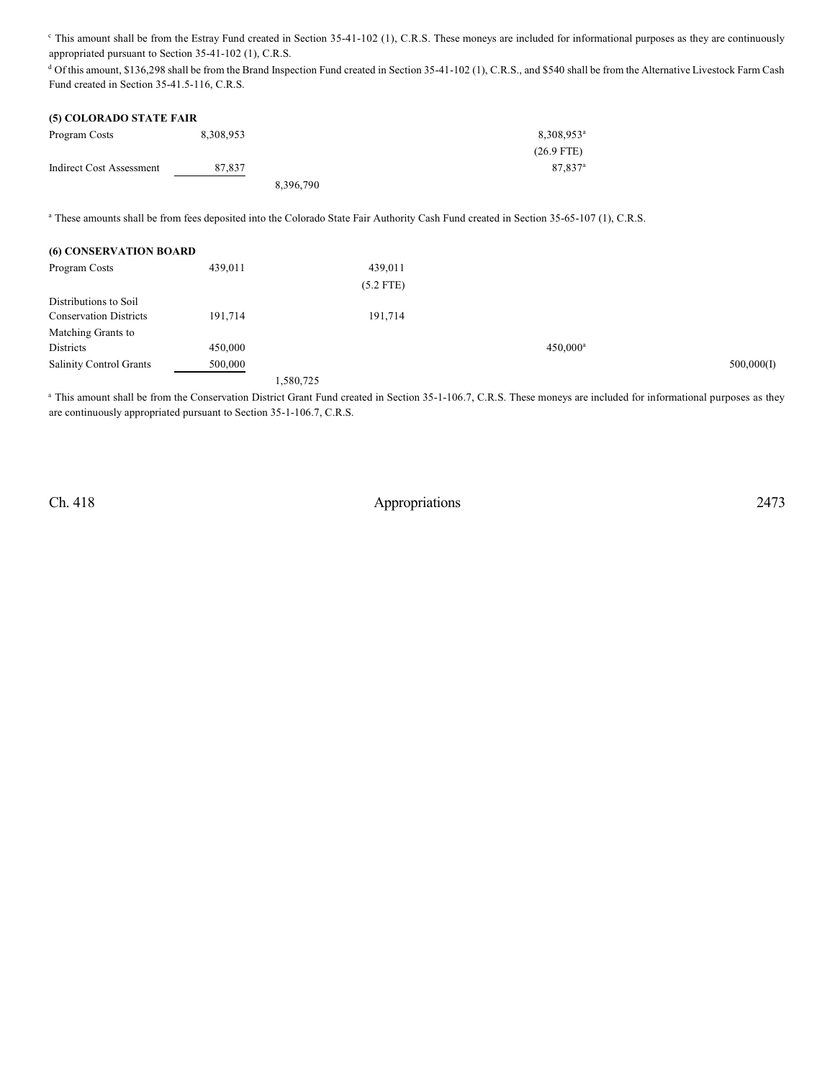<sup>e</sup> This amount shall be from the Estray Fund created in Section 35-41-102 (1), C.R.S. These moneys are included for informational purposes as they are continuously appropriated pursuant to Section 35-41-102 (1), C.R.S.

<sup>d</sup> Of this amount, \$136,298 shall be from the Brand Inspection Fund created in Section 35-41-102 (1), C.R.S., and \$540 shall be from the Alternative Livestock Farm Cash Fund created in Section 35-41.5-116, C.R.S.

| (5) COLORADO STATE FAIR  |           |           |                        |
|--------------------------|-----------|-----------|------------------------|
| Program Costs            | 8,308,953 |           | 8,308,953 <sup>a</sup> |
|                          |           |           | $(26.9$ FTE)           |
| Indirect Cost Assessment | 87.837    |           | 87.837 <sup>a</sup>    |
|                          |           | 8,396,790 |                        |

<sup>a</sup> These amounts shall be from fees deposited into the Colorado State Fair Authority Cash Fund created in Section 35-65-107 (1), C.R.S.

| <b>(6) CONSERVATION BOARD</b>  |         |           |             |             |            |
|--------------------------------|---------|-----------|-------------|-------------|------------|
| Program Costs                  | 439,011 |           | 439,011     |             |            |
|                                |         |           | $(5.2$ FTE) |             |            |
| Distributions to Soil          |         |           |             |             |            |
| <b>Conservation Districts</b>  | 191,714 |           | 191,714     |             |            |
| Matching Grants to             |         |           |             |             |            |
| Districts                      | 450,000 |           |             | $450,000^a$ |            |
| <b>Salinity Control Grants</b> | 500,000 |           |             |             | 500,000(I) |
|                                |         | 1,580,725 |             |             |            |

<sup>a</sup> This amount shall be from the Conservation District Grant Fund created in Section 35-1-106.7, C.R.S. These moneys are included for informational purposes as they are continuously appropriated pursuant to Section 35-1-106.7, C.R.S.

Ch. 418 Appropriations 2473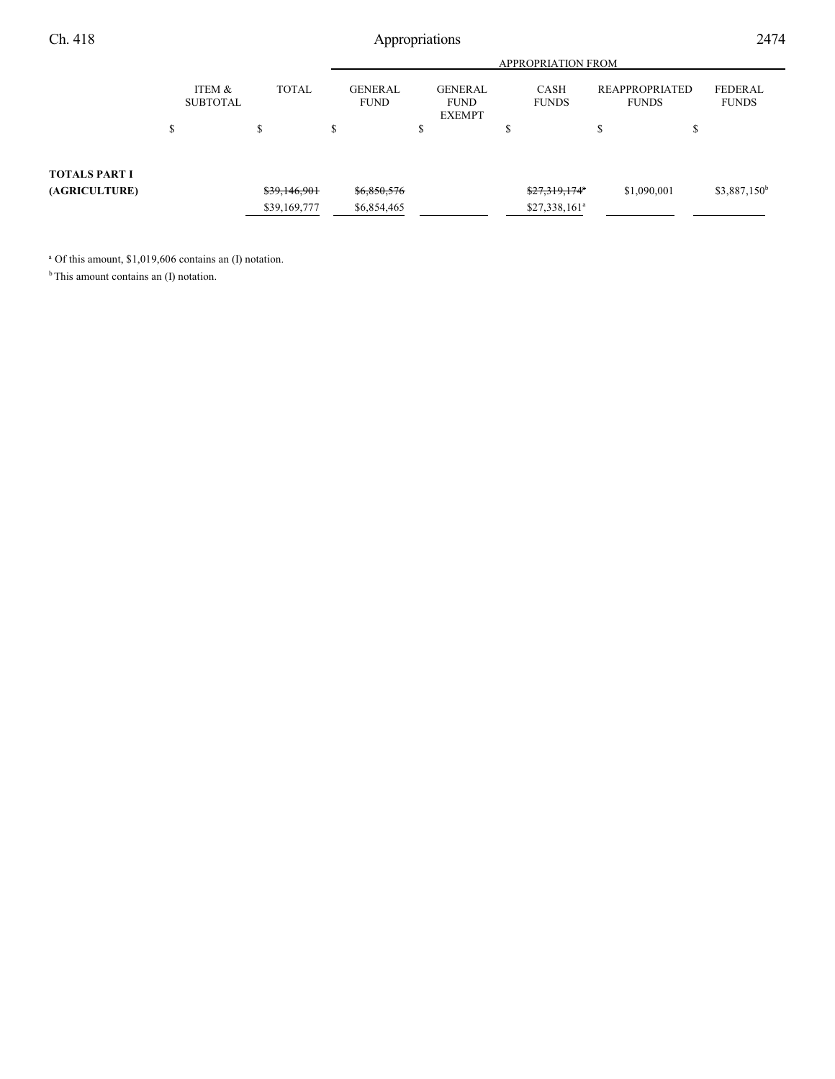Ch. 418 Appropriations 2474

|                      |                           | <b>TOTAL</b> | <b>APPROPRIATION FROM</b> |                        |                                         |  |                             |                                |             |                          |
|----------------------|---------------------------|--------------|---------------------------|------------------------|-----------------------------------------|--|-----------------------------|--------------------------------|-------------|--------------------------|
|                      | ITEM &<br><b>SUBTOTAL</b> |              |                           | GENERAL<br><b>FUND</b> | GENERAL<br><b>FUND</b><br><b>EXEMPT</b> |  | <b>CASH</b><br><b>FUNDS</b> | REAPPROPRIATED<br><b>FUNDS</b> |             | FEDERAL<br><b>FUNDS</b>  |
|                      | \$                        |              | \$                        |                        | \$                                      |  |                             |                                | J           |                          |
| <b>TOTALS PART I</b> |                           |              |                           |                        |                                         |  |                             |                                |             |                          |
| (AGRICULTURE)        |                           | \$39,146,901 |                           | \$6,850,576            |                                         |  | \$27,319,174*               |                                | \$1,090,001 | \$3,887,150 <sup>b</sup> |
|                      |                           | \$39,169,777 |                           | \$6,854,465            |                                         |  | $$27,338,161^a$             |                                |             |                          |

<sup>a</sup> Of this amount, \$1,019,606 contains an (I) notation.

<sup>b</sup> This amount contains an (I) notation.